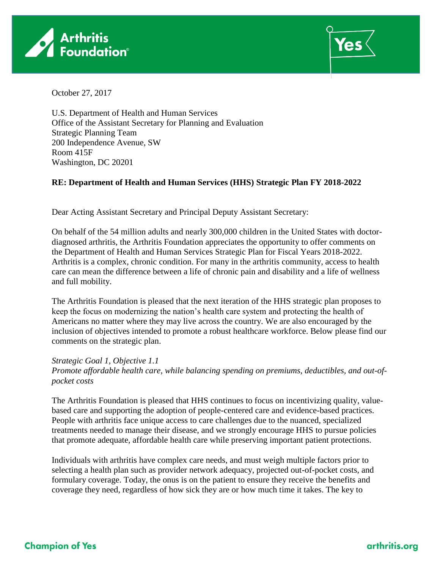



October 27, 2017

U.S. Department of Health and Human Services Office of the Assistant Secretary for Planning and Evaluation Strategic Planning Team 200 Independence Avenue, SW Room 415F Washington, DC 20201

## **RE: Department of Health and Human Services (HHS) Strategic Plan FY 2018-2022**

Dear Acting Assistant Secretary and Principal Deputy Assistant Secretary:

On behalf of the 54 million adults and nearly 300,000 children in the United States with doctordiagnosed arthritis, the Arthritis Foundation appreciates the opportunity to offer comments on the Department of Health and Human Services Strategic Plan for Fiscal Years 2018-2022. Arthritis is a complex, chronic condition. For many in the arthritis community, access to health care can mean the difference between a life of chronic pain and disability and a life of wellness and full mobility.

The Arthritis Foundation is pleased that the next iteration of the HHS strategic plan proposes to keep the focus on modernizing the nation's health care system and protecting the health of Americans no matter where they may live across the country. We are also encouraged by the inclusion of objectives intended to promote a robust healthcare workforce. Below please find our comments on the strategic plan.

*Strategic Goal 1, Objective 1.1 Promote affordable health care, while balancing spending on premiums, deductibles, and out-ofpocket costs*

The Arthritis Foundation is pleased that HHS continues to focus on incentivizing quality, valuebased care and supporting the adoption of people-centered care and evidence-based practices. People with arthritis face unique access to care challenges due to the nuanced, specialized treatments needed to manage their disease, and we strongly encourage HHS to pursue policies that promote adequate, affordable health care while preserving important patient protections.

Individuals with arthritis have complex care needs, and must weigh multiple factors prior to selecting a health plan such as provider network adequacy, projected out-of-pocket costs, and formulary coverage. Today, the onus is on the patient to ensure they receive the benefits and coverage they need, regardless of how sick they are or how much time it takes. The key to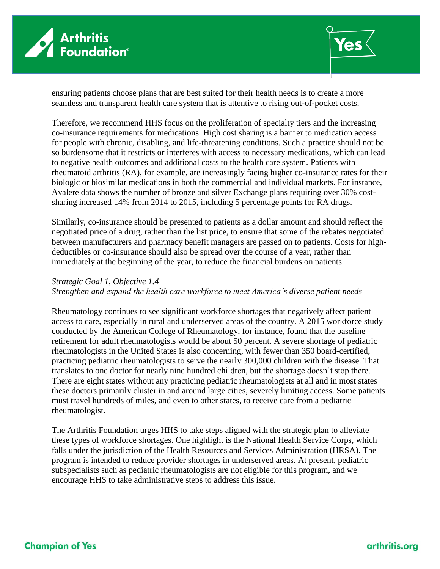



ensuring patients choose plans that are best suited for their health needs is to create a more seamless and transparent health care system that is attentive to rising out-of-pocket costs.

Therefore, we recommend HHS focus on the proliferation of specialty tiers and the increasing co-insurance requirements for medications. High cost sharing is a barrier to medication access for people with chronic, disabling, and life-threatening conditions. Such a practice should not be so burdensome that it restricts or interferes with access to necessary medications, which can lead to negative health outcomes and additional costs to the health care system. Patients with rheumatoid arthritis (RA), for example, are increasingly facing higher co-insurance rates for their biologic or biosimilar medications in both the commercial and individual markets. For instance, Avalere data shows the number of bronze and silver Exchange plans requiring over 30% costsharing increased 14% from 2014 to 2015, including 5 percentage points for RA drugs.

Similarly, co-insurance should be presented to patients as a dollar amount and should reflect the negotiated price of a drug, rather than the list price, to ensure that some of the rebates negotiated between manufacturers and pharmacy benefit managers are passed on to patients. Costs for highdeductibles or co-insurance should also be spread over the course of a year, rather than immediately at the beginning of the year, to reduce the financial burdens on patients.

## *Strategic Goal 1, Objective 1.4*

## *Strengthen and expand the health care workforce to meet America's diverse patient needs*

Rheumatology continues to see significant workforce shortages that negatively affect patient access to care, especially in rural and underserved areas of the country. A 2015 workforce study conducted by the American College of Rheumatology, for instance, found that the baseline retirement for adult rheumatologists would be about 50 percent. A severe shortage of pediatric rheumatologists in the United States is also concerning, with fewer than 350 board-certified, practicing pediatric rheumatologists to serve the nearly 300,000 children with the disease. That translates to one doctor for nearly nine hundred children, but the shortage doesn't stop there. There are eight states without any practicing pediatric rheumatologists at all and in most states these doctors primarily cluster in and around large cities, severely limiting access. Some patients must travel hundreds of miles, and even to other states, to receive care from a pediatric rheumatologist.

The Arthritis Foundation urges HHS to take steps aligned with the strategic plan to alleviate these types of workforce shortages. One highlight is the National Health Service Corps, which falls under the jurisdiction of the Health Resources and Services Administration (HRSA). The program is intended to reduce provider shortages in underserved areas. At present, pediatric subspecialists such as pediatric rheumatologists are not eligible for this program, and we encourage HHS to take administrative steps to address this issue.